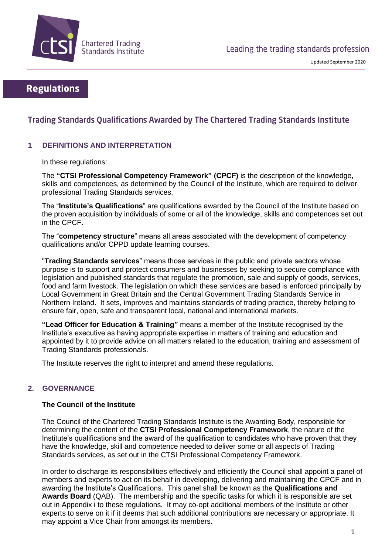

# **Regulations**

# Trading Standards Qualifications Awarded by The Chartered Trading Standards Institute

# **1 DEFINITIONS AND INTERPRETATION**

In these regulations:

The **"CTSI Professional Competency Framework" (CPCF)** is the description of the knowledge, skills and competences, as determined by the Council of the Institute, which are required to deliver professional Trading Standards services.

The "**Institute's Qualifications**" are qualifications awarded by the Council of the Institute based on the proven acquisition by individuals of some or all of the knowledge, skills and competences set out in the CPCF.

The "**competency structure**" means all areas associated with the development of competency qualifications and/or CPPD update learning courses.

"**Trading Standards services**" means those services in the public and private sectors whose purpose is to support and protect consumers and businesses by seeking to secure compliance with legislation and published standards that regulate the promotion, sale and supply of goods, services, food and farm livestock. The legislation on which these services are based is enforced principally by Local Government in Great Britain and the Central Government Trading Standards Service in Northern Ireland. It sets, improves and maintains standards of trading practice, thereby helping to ensure fair, open, safe and transparent local, national and international markets.

**"Lead Officer for Education & Training"** means a member of the Institute recognised by the Institute's executive as having appropriate expertise in matters of training and education and appointed by it to provide advice on all matters related to the education, training and assessment of Trading Standards professionals.

The Institute reserves the right to interpret and amend these regulations.

# **2. GOVERNANCE**

### **The Council of the Institute**

The Council of the Chartered Trading Standards Institute is the Awarding Body, responsible for determining the content of the **CTSI Professional Competency Framework**, the nature of the Institute's qualifications and the award of the qualification to candidates who have proven that they have the knowledge, skill and competence needed to deliver some or all aspects of Trading Standards services, as set out in the CTSI Professional Competency Framework.

In order to discharge its responsibilities effectively and efficiently the Council shall appoint a panel of members and experts to act on its behalf in developing, delivering and maintaining the CPCF and in awarding the Institute's Qualifications. This panel shall be known as the **Qualifications and Awards Board** (QAB). The membership and the specific tasks for which it is responsible are set out in Appendix i to these regulations. It may co-opt additional members of the Institute or other experts to serve on it if it deems that such additional contributions are necessary or appropriate. It may appoint a Vice Chair from amongst its members.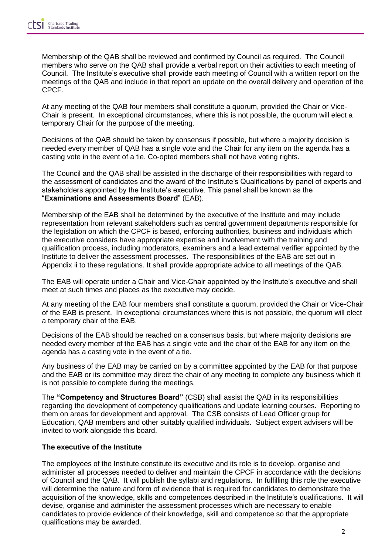Membership of the QAB shall be reviewed and confirmed by Council as required. The Council members who serve on the QAB shall provide a verbal report on their activities to each meeting of Council. The Institute's executive shall provide each meeting of Council with a written report on the meetings of the QAB and include in that report an update on the overall delivery and operation of the CPCF.

At any meeting of the QAB four members shall constitute a quorum, provided the Chair or Vice-Chair is present. In exceptional circumstances, where this is not possible, the quorum will elect a temporary Chair for the purpose of the meeting.

Decisions of the QAB should be taken by consensus if possible, but where a majority decision is needed every member of QAB has a single vote and the Chair for any item on the agenda has a casting vote in the event of a tie. Co-opted members shall not have voting rights.

The Council and the QAB shall be assisted in the discharge of their responsibilities with regard to the assessment of candidates and the award of the Institute's Qualifications by panel of experts and stakeholders appointed by the Institute's executive. This panel shall be known as the "**Examinations and Assessments Board**" (EAB).

Membership of the EAB shall be determined by the executive of the Institute and may include representation from relevant stakeholders such as central government departments responsible for the legislation on which the CPCF is based, enforcing authorities, business and individuals which the executive considers have appropriate expertise and involvement with the training and qualification process, including moderators, examiners and a lead external verifier appointed by the Institute to deliver the assessment processes. The responsibilities of the EAB are set out in Appendix ii to these regulations. It shall provide appropriate advice to all meetings of the QAB.

The EAB will operate under a Chair and Vice-Chair appointed by the Institute's executive and shall meet at such times and places as the executive may decide.

At any meeting of the EAB four members shall constitute a quorum, provided the Chair or Vice-Chair of the EAB is present. In exceptional circumstances where this is not possible, the quorum will elect a temporary chair of the EAB.

Decisions of the EAB should be reached on a consensus basis, but where majority decisions are needed every member of the EAB has a single vote and the chair of the EAB for any item on the agenda has a casting vote in the event of a tie.

Any business of the EAB may be carried on by a committee appointed by the EAB for that purpose and the EAB or its committee may direct the chair of any meeting to complete any business which it is not possible to complete during the meetings.

The **"Competency and Structures Board"** (CSB) shall assist the QAB in its responsibilities regarding the development of competency qualifications and update learning courses. Reporting to them on areas for development and approval. The CSB consists of Lead Officer group for Education, QAB members and other suitably qualified individuals. Subject expert advisers will be invited to work alongside this board.

### **The executive of the Institute**

The employees of the Institute constitute its executive and its role is to develop, organise and administer all processes needed to deliver and maintain the CPCF in accordance with the decisions of Council and the QAB. It will publish the syllabi and regulations. In fulfilling this role the executive will determine the nature and form of evidence that is required for candidates to demonstrate the acquisition of the knowledge, skills and competences described in the Institute's qualifications. It will devise, organise and administer the assessment processes which are necessary to enable candidates to provide evidence of their knowledge, skill and competence so that the appropriate qualifications may be awarded.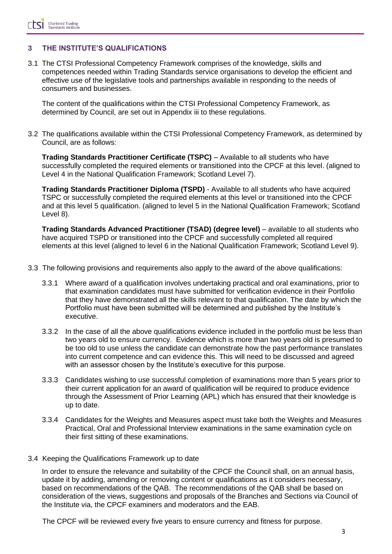### **3 THE INSTITUTE'S QUALIFICATIONS**

3.1 The CTSI Professional Competency Framework comprises of the knowledge, skills and competences needed within Trading Standards service organisations to develop the efficient and effective use of the legislative tools and partnerships available in responding to the needs of consumers and businesses.

The content of the qualifications within the CTSI Professional Competency Framework, as determined by Council, are set out in Appendix iii to these regulations.

3.2 The qualifications available within the CTSI Professional Competency Framework, as determined by Council, are as follows:

**Trading Standards Practitioner Certificate (TSPC)** – Available to all students who have successfully completed the required elements or transitioned into the CPCF at this level. (aligned to Level 4 in the National Qualification Framework; Scotland Level 7).

**Trading Standards Practitioner Diploma (TSPD)** - Available to all students who have acquired TSPC or successfully completed the required elements at this level or transitioned into the CPCF and at this level 5 qualification. (aligned to level 5 in the National Qualification Framework; Scotland Level 8).

**Trading Standards Advanced Practitioner (TSAD) (degree level)** – available to all students who have acquired TSPD or transitioned into the CPCF and successfully completed all required elements at this level (aligned to level 6 in the National Qualification Framework; Scotland Level 9).

- 3.3 The following provisions and requirements also apply to the award of the above qualifications:
	- 3.3.1 Where award of a qualification involves undertaking practical and oral examinations, prior to that examination candidates must have submitted for verification evidence in their Portfolio that they have demonstrated all the skills relevant to that qualification. The date by which the Portfolio must have been submitted will be determined and published by the Institute's executive.
	- 3.3.2 In the case of all the above qualifications evidence included in the portfolio must be less than two years old to ensure currency. Evidence which is more than two years old is presumed to be too old to use unless the candidate can demonstrate how the past performance translates into current competence and can evidence this. This will need to be discussed and agreed with an assessor chosen by the Institute's executive for this purpose.
	- 3.3.3 Candidates wishing to use successful completion of examinations more than 5 years prior to their current application for an award of qualification will be required to produce evidence through the Assessment of Prior Learning (APL) which has ensured that their knowledge is up to date.
	- 3.3.4 Candidates for the Weights and Measures aspect must take both the Weights and Measures Practical, Oral and Professional Interview examinations in the same examination cycle on their first sitting of these examinations.
- 3.4 Keeping the Qualifications Framework up to date

In order to ensure the relevance and suitability of the CPCF the Council shall, on an annual basis, update it by adding, amending or removing content or qualifications as it considers necessary, based on recommendations of the QAB. The recommendations of the QAB shall be based on consideration of the views, suggestions and proposals of the Branches and Sections via Council of the Institute via, the CPCF examiners and moderators and the EAB.

The CPCF will be reviewed every five years to ensure currency and fitness for purpose.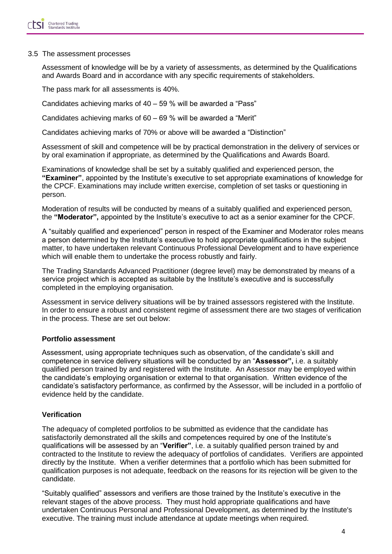#### 3.5 The assessment processes

Assessment of knowledge will be by a variety of assessments, as determined by the Qualifications and Awards Board and in accordance with any specific requirements of stakeholders.

The pass mark for all assessments is 40%.

Candidates achieving marks of 40 – 59 % will be awarded a "Pass"

Candidates achieving marks of 60 – 69 % will be awarded a "Merit"

Candidates achieving marks of 70% or above will be awarded a "Distinction"

Assessment of skill and competence will be by practical demonstration in the delivery of services or by oral examination if appropriate, as determined by the Qualifications and Awards Board.

Examinations of knowledge shall be set by a suitably qualified and experienced person, the **"Examiner"**, appointed by the Institute's executive to set appropriate examinations of knowledge for the CPCF. Examinations may include written exercise, completion of set tasks or questioning in person.

Moderation of results will be conducted by means of a suitably qualified and experienced person, the **"Moderator",** appointed by the Institute's executive to act as a senior examiner for the CPCF.

A "suitably qualified and experienced" person in respect of the Examiner and Moderator roles means a person determined by the Institute's executive to hold appropriate qualifications in the subject matter, to have undertaken relevant Continuous Professional Development and to have experience which will enable them to undertake the process robustly and fairly.

The Trading Standards Advanced Practitioner (degree level) may be demonstrated by means of a service project which is accepted as suitable by the Institute's executive and is successfully completed in the employing organisation.

Assessment in service delivery situations will be by trained assessors registered with the Institute. In order to ensure a robust and consistent regime of assessment there are two stages of verification in the process. These are set out below:

### **Portfolio assessment**

Assessment, using appropriate techniques such as observation, of the candidate's skill and competence in service delivery situations will be conducted by an "**Assessor",** i.e. a suitably qualified person trained by and registered with the Institute. An Assessor may be employed within the candidate's employing organisation or external to that organisation. Written evidence of the candidate's satisfactory performance, as confirmed by the Assessor, will be included in a portfolio of evidence held by the candidate.

### **Verification**

The adequacy of completed portfolios to be submitted as evidence that the candidate has satisfactorily demonstrated all the skills and competences required by one of the Institute's qualifications will be assessed by an "**Verifier"**, i.e. a suitably qualified person trained by and contracted to the Institute to review the adequacy of portfolios of candidates. Verifiers are appointed directly by the Institute. When a verifier determines that a portfolio which has been submitted for qualification purposes is not adequate, feedback on the reasons for its rejection will be given to the candidate.

"Suitably qualified" assessors and verifiers are those trained by the Institute's executive in the relevant stages of the above process. They must hold appropriate qualifications and have undertaken Continuous Personal and Professional Development, as determined by the Institute's executive. The training must include attendance at update meetings when required.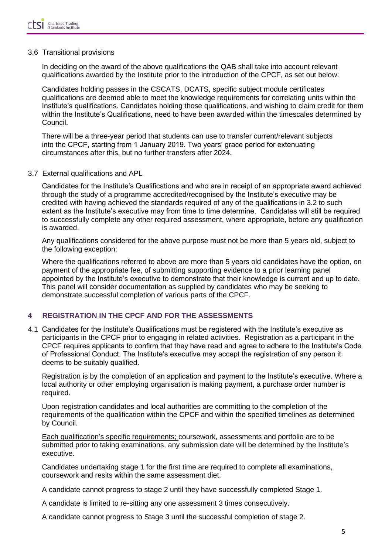#### 3.6 Transitional provisions

In deciding on the award of the above qualifications the QAB shall take into account relevant qualifications awarded by the Institute prior to the introduction of the CPCF, as set out below:

Candidates holding passes in the CSCATS, DCATS, specific subject module certificates qualifications are deemed able to meet the knowledge requirements for correlating units within the Institute's qualifications. Candidates holding those qualifications, and wishing to claim credit for them within the Institute's Qualifications, need to have been awarded within the timescales determined by Council.

There will be a three-year period that students can use to transfer current/relevant subjects into the CPCF, starting from 1 January 2019. Two years' grace period for extenuating circumstances after this, but no further transfers after 2024.

#### 3.7 External qualifications and APL

Candidates for the Institute's Qualifications and who are in receipt of an appropriate award achieved through the study of a programme accredited/recognised by the Institute's executive may be credited with having achieved the standards required of any of the qualifications in 3.2 to such extent as the Institute's executive may from time to time determine. Candidates will still be required to successfully complete any other required assessment, where appropriate, before any qualification is awarded.

Any qualifications considered for the above purpose must not be more than 5 years old, subject to the following exception:

Where the qualifications referred to above are more than 5 years old candidates have the option, on payment of the appropriate fee, of submitting supporting evidence to a prior learning panel appointed by the Institute's executive to demonstrate that their knowledge is current and up to date. This panel will consider documentation as supplied by candidates who may be seeking to demonstrate successful completion of various parts of the CPCF.

### **4 REGISTRATION IN THE CPCF AND FOR THE ASSESSMENTS**

4.1 Candidates for the Institute's Qualifications must be registered with the Institute's executive as participants in the CPCF prior to engaging in related activities. Registration as a participant in the CPCF requires applicants to confirm that they have read and agree to adhere to the Institute's Code of Professional Conduct. The Institute's executive may accept the registration of any person it deems to be suitably qualified.

Registration is by the completion of an application and payment to the Institute's executive. Where a local authority or other employing organisation is making payment, a purchase order number is required.

Upon registration candidates and local authorities are committing to the completion of the requirements of the qualification within the CPCF and within the specified timelines as determined by Council.

Each qualification's specific requirements; coursework, assessments and portfolio are to be submitted prior to taking examinations, any submission date will be determined by the Institute's executive.

Candidates undertaking stage 1 for the first time are required to complete all examinations, coursework and resits within the same assessment diet.

A candidate cannot progress to stage 2 until they have successfully completed Stage 1.

A candidate is limited to re-sitting any one assessment 3 times consecutively.

A candidate cannot progress to Stage 3 until the successful completion of stage 2.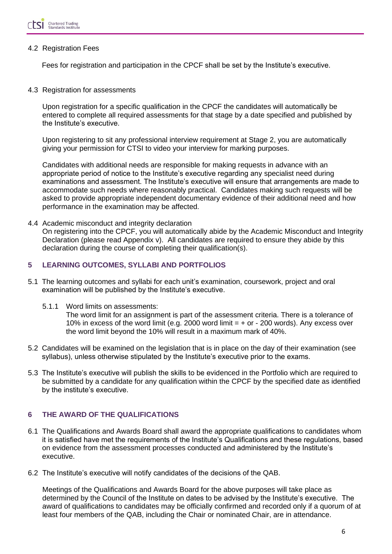

#### 4.2 Registration Fees

Fees for registration and participation in the CPCF shall be set by the Institute's executive.

4.3 Registration for assessments

Upon registration for a specific qualification in the CPCF the candidates will automatically be entered to complete all required assessments for that stage by a date specified and published by the Institute's executive.

Upon registering to sit any professional interview requirement at Stage 2, you are automatically giving your permission for CTSI to video your interview for marking purposes.

Candidates with additional needs are responsible for making requests in advance with an appropriate period of notice to the Institute's executive regarding any specialist need during examinations and assessment. The Institute's executive will ensure that arrangements are made to accommodate such needs where reasonably practical. Candidates making such requests will be asked to provide appropriate independent documentary evidence of their additional need and how performance in the examination may be affected.

4.4 Academic misconduct and integrity declaration On registering into the CPCF, you will automatically abide by the Academic Misconduct and Integrity Declaration (please read Appendix v). All candidates are required to ensure they abide by this declaration during the course of completing their qualification(s).

### **5 LEARNING OUTCOMES, SYLLABI AND PORTFOLIOS**

- 5.1 The learning outcomes and syllabi for each unit's examination, coursework, project and oral examination will be published by the Institute's executive.
	- 5.1.1 Word limits on assessments:

The word limit for an assignment is part of the assessment criteria. There is a tolerance of 10% in excess of the word limit (e.g. 2000 word limit  $= +$  or  $-$  200 words). Any excess over the word limit beyond the 10% will result in a maximum mark of 40%.

- 5.2 Candidates will be examined on the legislation that is in place on the day of their examination (see syllabus), unless otherwise stipulated by the Institute's executive prior to the exams.
- 5.3 The Institute's executive will publish the skills to be evidenced in the Portfolio which are required to be submitted by a candidate for any qualification within the CPCF by the specified date as identified by the institute's executive.

# **6 THE AWARD OF THE QUALIFICATIONS**

- 6.1 The Qualifications and Awards Board shall award the appropriate qualifications to candidates whom it is satisfied have met the requirements of the Institute's Qualifications and these regulations, based on evidence from the assessment processes conducted and administered by the Institute's executive.
- 6.2 The Institute's executive will notify candidates of the decisions of the QAB.

Meetings of the Qualifications and Awards Board for the above purposes will take place as determined by the Council of the Institute on dates to be advised by the Institute's executive. The award of qualifications to candidates may be officially confirmed and recorded only if a quorum of at least four members of the QAB, including the Chair or nominated Chair, are in attendance.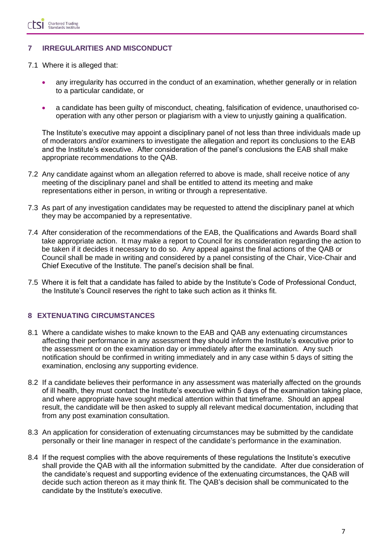## **7 IRREGULARITIES AND MISCONDUCT**

- 7.1 Where it is alleged that:
	- any irregularity has occurred in the conduct of an examination, whether generally or in relation to a particular candidate, or
	- a candidate has been guilty of misconduct, cheating, falsification of evidence, unauthorised cooperation with any other person or plagiarism with a view to unjustly gaining a qualification.

The Institute's executive may appoint a disciplinary panel of not less than three individuals made up of moderators and/or examiners to investigate the allegation and report its conclusions to the EAB and the Institute's executive. After consideration of the panel's conclusions the EAB shall make appropriate recommendations to the QAB.

- 7.2 Any candidate against whom an allegation referred to above is made, shall receive notice of any meeting of the disciplinary panel and shall be entitled to attend its meeting and make representations either in person, in writing or through a representative.
- 7.3 As part of any investigation candidates may be requested to attend the disciplinary panel at which they may be accompanied by a representative.
- 7.4 After consideration of the recommendations of the EAB, the Qualifications and Awards Board shall take appropriate action. It may make a report to Council for its consideration regarding the action to be taken if it decides it necessary to do so. Any appeal against the final actions of the QAB or Council shall be made in writing and considered by a panel consisting of the Chair, Vice-Chair and Chief Executive of the Institute. The panel's decision shall be final.
- 7.5 Where it is felt that a candidate has failed to abide by the Institute's Code of Professional Conduct, the Institute's Council reserves the right to take such action as it thinks fit.

### **8 EXTENUATING CIRCUMSTANCES**

- 8.1 Where a candidate wishes to make known to the EAB and QAB any extenuating circumstances affecting their performance in any assessment they should inform the Institute's executive prior to the assessment or on the examination day or immediately after the examination. Any such notification should be confirmed in writing immediately and in any case within 5 days of sitting the examination, enclosing any supporting evidence.
- 8.2 If a candidate believes their performance in any assessment was materially affected on the grounds of ill health, they must contact the Institute's executive within 5 days of the examination taking place, and where appropriate have sought medical attention within that timeframe. Should an appeal result, the candidate will be then asked to supply all relevant medical documentation, including that from any post examination consultation.
- 8.3 An application for consideration of extenuating circumstances may be submitted by the candidate personally or their line manager in respect of the candidate's performance in the examination.
- 8.4 If the request complies with the above requirements of these regulations the Institute's executive shall provide the QAB with all the information submitted by the candidate. After due consideration of the candidate's request and supporting evidence of the extenuating circumstances, the QAB will decide such action thereon as it may think fit. The QAB's decision shall be communicated to the candidate by the Institute's executive.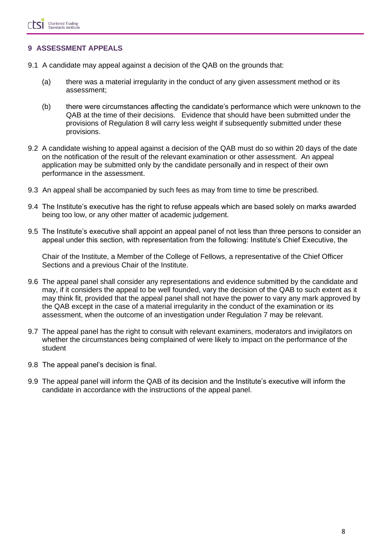### **9 ASSESSMENT APPEALS**

- 9.1 A candidate may appeal against a decision of the QAB on the grounds that:
	- (a) there was a material irregularity in the conduct of any given assessment method or its assessment;
	- (b) there were circumstances affecting the candidate's performance which were unknown to the QAB at the time of their decisions. Evidence that should have been submitted under the provisions of Regulation 8 will carry less weight if subsequently submitted under these provisions.
- 9.2 A candidate wishing to appeal against a decision of the QAB must do so within 20 days of the date on the notification of the result of the relevant examination or other assessment. An appeal application may be submitted only by the candidate personally and in respect of their own performance in the assessment.
- 9.3 An appeal shall be accompanied by such fees as may from time to time be prescribed.
- 9.4 The Institute's executive has the right to refuse appeals which are based solely on marks awarded being too low, or any other matter of academic judgement.
- 9.5 The Institute's executive shall appoint an appeal panel of not less than three persons to consider an appeal under this section, with representation from the following: Institute's Chief Executive, the

Chair of the Institute, a Member of the College of Fellows, a representative of the Chief Officer Sections and a previous Chair of the Institute.

- 9.6 The appeal panel shall consider any representations and evidence submitted by the candidate and may, if it considers the appeal to be well founded, vary the decision of the QAB to such extent as it may think fit, provided that the appeal panel shall not have the power to vary any mark approved by the QAB except in the case of a material irregularity in the conduct of the examination or its assessment, when the outcome of an investigation under Regulation 7 may be relevant.
- 9.7 The appeal panel has the right to consult with relevant examiners, moderators and invigilators on whether the circumstances being complained of were likely to impact on the performance of the student
- 9.8 The appeal panel's decision is final.
- 9.9 The appeal panel will inform the QAB of its decision and the Institute's executive will inform the candidate in accordance with the instructions of the appeal panel.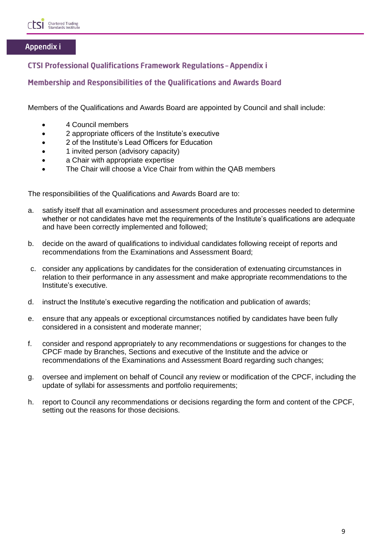

# Appendix i

# **CTSI Professional Qualifications Framework Regulations - Appendix i**

# Membership and Responsibilities of the Qualifications and Awards Board

Members of the Qualifications and Awards Board are appointed by Council and shall include:

- 4 Council members
- 2 appropriate officers of the Institute's executive
- 2 of the Institute's Lead Officers for Education
- 1 invited person (advisory capacity)
- a Chair with appropriate expertise
- The Chair will choose a Vice Chair from within the QAB members

The responsibilities of the Qualifications and Awards Board are to:

- a. satisfy itself that all examination and assessment procedures and processes needed to determine whether or not candidates have met the requirements of the Institute's qualifications are adequate and have been correctly implemented and followed;
- b. decide on the award of qualifications to individual candidates following receipt of reports and recommendations from the Examinations and Assessment Board;
- c. consider any applications by candidates for the consideration of extenuating circumstances in relation to their performance in any assessment and make appropriate recommendations to the Institute's executive.
- d. instruct the Institute's executive regarding the notification and publication of awards;
- e. ensure that any appeals or exceptional circumstances notified by candidates have been fully considered in a consistent and moderate manner;
- f. consider and respond appropriately to any recommendations or suggestions for changes to the CPCF made by Branches, Sections and executive of the Institute and the advice or recommendations of the Examinations and Assessment Board regarding such changes;
- g. oversee and implement on behalf of Council any review or modification of the CPCF, including the update of syllabi for assessments and portfolio requirements;
- h. report to Council any recommendations or decisions regarding the form and content of the CPCF, setting out the reasons for those decisions.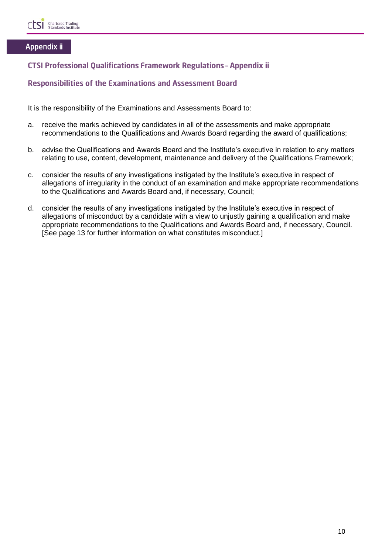

### Appendix ii

# **CTSI Professional Qualifications Framework Regulations - Appendix ii**

### **Responsibilities of the Examinations and Assessment Board**

It is the responsibility of the Examinations and Assessments Board to:

- a. receive the marks achieved by candidates in all of the assessments and make appropriate recommendations to the Qualifications and Awards Board regarding the award of qualifications;
- b. advise the Qualifications and Awards Board and the Institute's executive in relation to any matters relating to use, content, development, maintenance and delivery of the Qualifications Framework;
- c. consider the results of any investigations instigated by the Institute's executive in respect of allegations of irregularity in the conduct of an examination and make appropriate recommendations to the Qualifications and Awards Board and, if necessary, Council;
- d. consider the results of any investigations instigated by the Institute's executive in respect of allegations of misconduct by a candidate with a view to unjustly gaining a qualification and make appropriate recommendations to the Qualifications and Awards Board and, if necessary, Council. [See page 13 for further information on what constitutes misconduct.]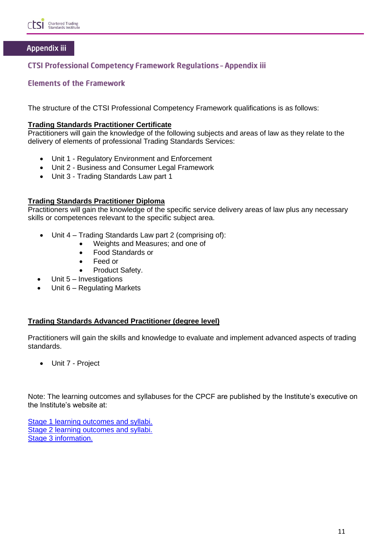

# Appendix iii

# **CTSI Professional Competency Framework Regulations - Appendix iii**

### **Elements of the Framework**

The structure of the CTSI Professional Competency Framework qualifications is as follows:

#### **Trading Standards Practitioner Certificate**

Practitioners will gain the knowledge of the following subjects and areas of law as they relate to the delivery of elements of professional Trading Standards Services:

- Unit 1 Regulatory Environment and Enforcement
- Unit 2 Business and Consumer Legal Framework
- Unit 3 Trading Standards Law part 1

#### **Trading Standards Practitioner Diploma**

Practitioners will gain the knowledge of the specific service delivery areas of law plus any necessary skills or competences relevant to the specific subject area.

- Unit 4 Trading Standards Law part 2 (comprising of):
	- Weights and Measures; and one of
	- Food Standards or
	- Feed or
	- Product Safety.
- Unit 5 Investigations
- Unit 6 Regulating Markets

#### **Trading Standards Advanced Practitioner (degree level)**

Practitioners will gain the skills and knowledge to evaluate and implement advanced aspects of trading standards.

• Unit 7 - Project

Note: The learning outcomes and syllabuses for the CPCF are published by the Institute's executive on the Institute's website at:

[Stage 1 learning outcomes and syllabi.](https://www.tradingstandards.uk/practitioners/training-development/qualifications-resources#stage1info) [Stage 2 learning outcomes and syllabi.](https://www.tradingstandards.uk/practitioners/training-development/qualifications-resources#stage2info) [Stage 3 information.](https://www.tradingstandards.uk/practitioners/training-development/qualifications-resources#stage3info)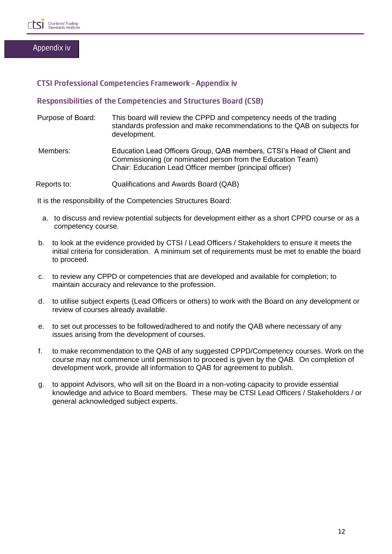

### **CTSI Professional Competencies Framework - Appendix iv**

### **Responsibilities of the Competencies and Structures Board (CSB)**

- Purpose of Board: This board will review the CPPD and competency needs of the trading standards profession and make recommendations to the QAB on subjects for development.
- Members: Education Lead Officers Group, QAB members, CTSI's Head of Client and Commissioning (or nominated person from the Education Team) Chair: Education Lead Officer member (principal officer)
- Reports to: Qualifications and Awards Board (QAB)

It is the responsibility of the Competencies Structures Board:

- a. to discuss and review potential subjects for development either as a short CPPD course or as a competency course.
- b. to look at the evidence provided by CTSI / Lead Officers / Stakeholders to ensure it meets the initial criteria for consideration. A minimum set of requirements must be met to enable the board to proceed.
- c. to review any CPPD or competencies that are developed and available for completion; to maintain accuracy and relevance to the profession.
- d. to utilise subject experts (Lead Officers or others) to work with the Board on any development or review of courses already available.
- e. to set out processes to be followed/adhered to and notify the QAB where necessary of any issues arising from the development of courses.
- f. to make recommendation to the QAB of any suggested CPPD/Competency courses. Work on the course may not commence until permission to proceed is given by the QAB. On completion of development work, provide all information to QAB for agreement to publish.
- g. to appoint Advisors, who will sit on the Board in a non-voting capacity to provide essential knowledge and advice to Board members. These may be CTSI Lead Officers / Stakeholders / or general acknowledged subject experts.